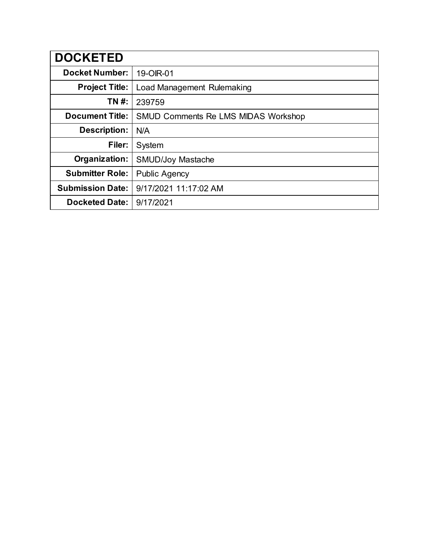| <b>DOCKETED</b>         |                                            |
|-------------------------|--------------------------------------------|
| <b>Docket Number:</b>   | 19-OIR-01                                  |
| <b>Project Title:</b>   | Load Management Rulemaking                 |
| TN #:                   | 239759                                     |
| <b>Document Title:</b>  | <b>SMUD Comments Re LMS MIDAS Workshop</b> |
| <b>Description:</b>     | N/A                                        |
| Filer:                  | System                                     |
| Organization:           | <b>SMUD/Joy Mastache</b>                   |
| <b>Submitter Role:</b>  | <b>Public Agency</b>                       |
| <b>Submission Date:</b> | 9/17/2021 11:17:02 AM                      |
| <b>Docketed Date:</b>   | 9/17/2021                                  |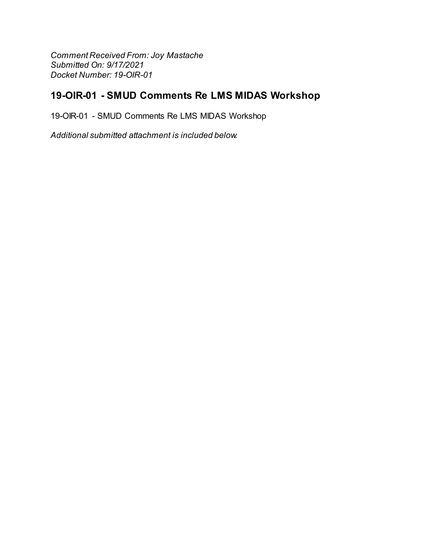Comment Received From: Joy Mastache Submitted On: 9/17/2021 Docket Number: 19-OIR-01

# 19-OIR-01 - SMUD Comments Re LMS MIDAS Workshop

19-OIR-01 - SMUD Comments Re LMS MIDAS Workshop

Additional submitted attachment is included below.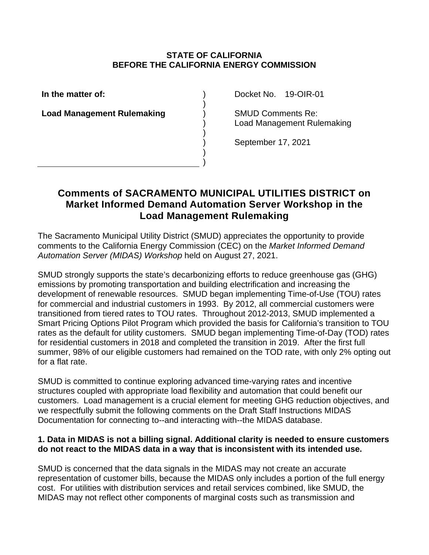## **STATE OF CALIFORNIA BEFORE THE CALIFORNIA ENERGY COMMISSION**

) ) ) ) ) ) ) )

**In the matter of:**

**Load Management Rulemaking**

Docket No. 19-OIR-01

SMUD Comments Re: Load Management Rulemaking

September 17, 2021

## **Comments of SACRAMENTO MUNICIPAL UTILITIES DISTRICT on Market Informed Demand Automation Server Workshop in the Load Management Rulemaking**

The Sacramento Municipal Utility District (SMUD) appreciates the opportunity to provide comments to the California Energy Commission (CEC) on the *Market Informed Demand Automation Server (MIDAS) Workshop* held on August 27, 2021.

SMUD strongly supports the state's decarbonizing efforts to reduce greenhouse gas (GHG) emissions by promoting transportation and building electrification and increasing the development of renewable resources. SMUD began implementing Time-of-Use (TOU) rates for commercial and industrial customers in 1993. By 2012, all commercial customers were transitioned from tiered rates to TOU rates. Throughout 2012-2013, SMUD implemented a Smart Pricing Options Pilot Program which provided the basis for California's transition to TOU rates as the default for utility customers. SMUD began implementing Time-of-Day (TOD) rates for residential customers in 2018 and completed the transition in 2019. After the first full summer, 98% of our eligible customers had remained on the TOD rate, with only 2% opting out for a flat rate.

SMUD is committed to continue exploring advanced time-varying rates and incentive structures coupled with appropriate load flexibility and automation that could benefit our customers. Load management is a crucial element for meeting GHG reduction objectives, and we respectfully submit the following comments on the Draft Staff Instructions MIDAS Documentation for connecting to--and interacting with--the MIDAS database.

## **1. Data in MIDAS is not a billing signal. Additional clarity is needed to ensure customers do not react to the MIDAS data in a way that is inconsistent with its intended use.**

SMUD is concerned that the data signals in the MIDAS may not create an accurate representation of customer bills, because the MIDAS only includes a portion of the full energy cost. For utilities with distribution services and retail services combined, like SMUD, the MIDAS may not reflect other components of marginal costs such as transmission and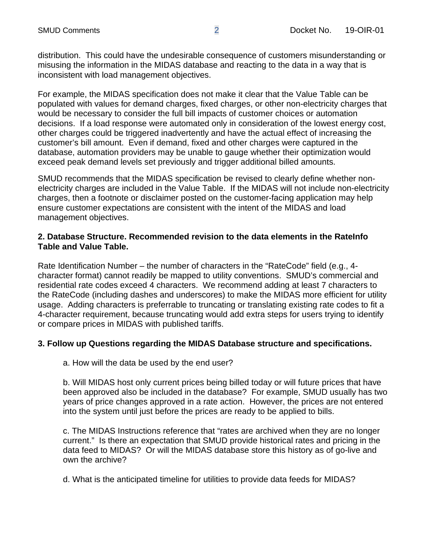distribution. This could have the undesirable consequence of customers misunderstanding or misusing the information in the MIDAS database and reacting to the data in a way that is inconsistent with load management objectives.

For example, the MIDAS specification does not make it clear that the Value Table can be populated with values for demand charges, fixed charges, or other non-electricity charges that would be necessary to consider the full bill impacts of customer choices or automation decisions. If a load response were automated only in consideration of the lowest energy cost, other charges could be triggered inadvertently and have the actual effect of increasing the customer's bill amount. Even if demand, fixed and other charges were captured in the database, automation providers may be unable to gauge whether their optimization would exceed peak demand levels set previously and trigger additional billed amounts.

SMUD recommends that the MIDAS specification be revised to clearly define whether nonelectricity charges are included in the Value Table. If the MIDAS will not include non-electricity charges, then a footnote or disclaimer posted on the customer-facing application may help ensure customer expectations are consistent with the intent of the MIDAS and load management objectives.

#### **2. Database Structure. Recommended revision to the data elements in the RateInfo Table and Value Table.**

Rate Identification Number – the number of characters in the "RateCode" field (e.g., 4 character format) cannot readily be mapped to utility conventions. SMUD's commercial and residential rate codes exceed 4 characters. We recommend adding at least 7 characters to the RateCode (including dashes and underscores) to make the MIDAS more efficient for utility usage. Adding characters is preferrable to truncating or translating existing rate codes to fit a 4-character requirement, because truncating would add extra steps for users trying to identify or compare prices in MIDAS with published tariffs.

#### **3. Follow up Questions regarding the MIDAS Database structure and specifications.**

a. How will the data be used by the end user?

b. Will MIDAS host only current prices being billed today or will future prices that have been approved also be included in the database? For example, SMUD usually has two years of price changes approved in a rate action. However, the prices are not entered into the system until just before the prices are ready to be applied to bills.

c. The MIDAS Instructions reference that "rates are archived when they are no longer current." Is there an expectation that SMUD provide historical rates and pricing in the data feed to MIDAS? Or will the MIDAS database store this history as of go-live and own the archive?

d. What is the anticipated timeline for utilities to provide data feeds for MIDAS?